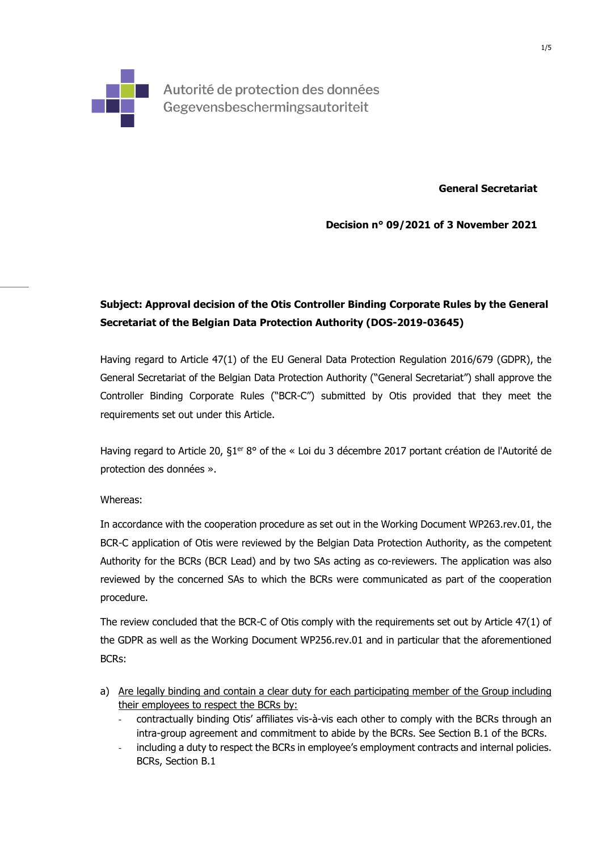

Autorité de protection des données Gegevensbeschermingsautoriteit

**General Secretariat** 

**Decision n° 09/2021 of 3 November 2021** 

## **Subject: Approval decision of the Otis Controller Binding Corporate Rules by the General Secretariat of the Belgian Data Protection Authority (DOS-2019-03645)**

Having regard to Article 47(1) of the EU General Data Protection Regulation 2016/679 (GDPR), the General Secretariat of the Belgian Data Protection Authority ("General Secretariat") shall approve the Controller Binding Corporate Rules ("BCR-C") submitted by Otis provided that they meet the requirements set out under this Article.

Having regard to Article 20, §1<sup>er</sup> 8° of the « Loi du 3 décembre 2017 portant création de l'Autorité de protection des données ».

## Whereas:

In accordance with the cooperation procedure as set out in the Working Document WP263.rev.01, the BCR-C application of Otis were reviewed by the Belgian Data Protection Authority, as the competent Authority for the BCRs (BCR Lead) and by two SAs acting as co-reviewers. The application was also reviewed by the concerned SAs to which the BCRs were communicated as part of the cooperation procedure.

The review concluded that the BCR-C of Otis comply with the requirements set out by Article 47(1) of the GDPR as well as the Working Document WP256.rev.01 and in particular that the aforementioned BCRs:

- a) Are legally binding and contain a clear duty for each participating member of the Group including their employees to respect the BCRs by:
	- contractually binding Otis' affiliates vis-à-vis each other to comply with the BCRs through an intra-group agreement and commitment to abide by the BCRs. See Section B.1 of the BCRs.
	- including a duty to respect the BCRs in employee's employment contracts and internal policies. BCRs, Section B.1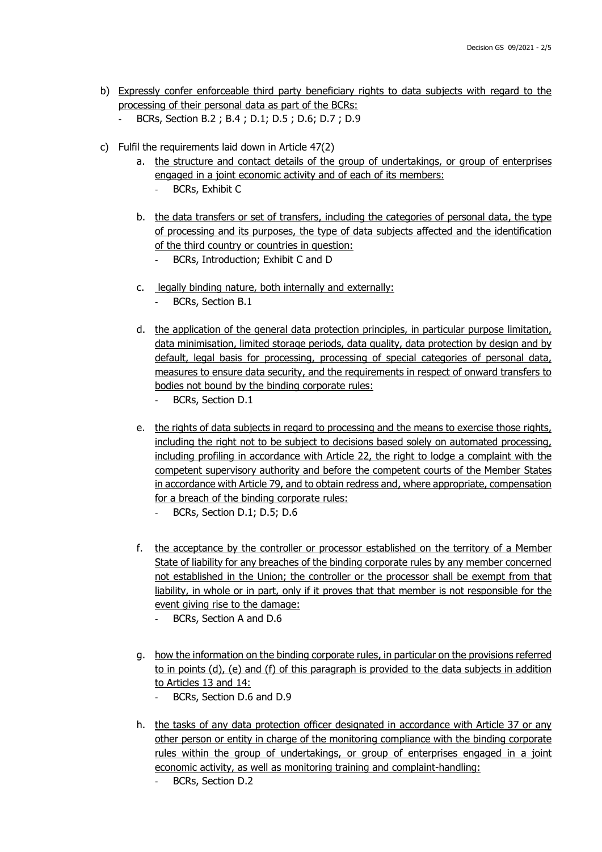- b) Expressly confer enforceable third party beneficiary rights to data subjects with regard to the processing of their personal data as part of the BCRs:
	- BCRs, Section B.2 ; B.4 ; D.1; D.5 ; D.6; D.7 ; D.9
- c) Fulfil the requirements laid down in Article 47(2)
	- a. the structure and contact details of the group of undertakings, or group of enterprises engaged in a joint economic activity and of each of its members:
		- BCRs, Exhibit C
	- b. the data transfers or set of transfers, including the categories of personal data, the type of processing and its purposes, the type of data subjects affected and the identification of the third country or countries in question:
		- BCRs, Introduction; Exhibit C and D
	- c. legally binding nature, both internally and externally:
		- BCRs, Section B.1
	- d. the application of the general data protection principles, in particular purpose limitation, data minimisation, limited storage periods, data quality, data protection by design and by default, legal basis for processing, processing of special categories of personal data, measures to ensure data security, and the requirements in respect of onward transfers to bodies not bound by the binding corporate rules:
		- BCRs, Section D.1
	- e. the rights of data subjects in regard to processing and the means to exercise those rights, including the right not to be subject to decisions based solely on automated processing, including profiling in accordance with Article 22, the right to lodge a complaint with the competent supervisory authority and before the competent courts of the Member States in accordance with Article 79, and to obtain redress and, where appropriate, compensation for a breach of the binding corporate rules:
		- BCRs, Section D.1; D.5; D.6
	- f. the acceptance by the controller or processor established on the territory of a Member State of liability for any breaches of the binding corporate rules by any member concerned not established in the Union; the controller or the processor shall be exempt from that liability, in whole or in part, only if it proves that that member is not responsible for the event giving rise to the damage:
		- BCRs, Section A and D.6
	- g. how the information on the binding corporate rules, in particular on the provisions referred to in points (d), (e) and (f) of this paragraph is provided to the data subjects in addition to Articles 13 and 14:
		- BCRs, Section D.6 and D.9
	- h. the tasks of any data protection officer designated in accordance with Article 37 or any other person or entity in charge of the monitoring compliance with the binding corporate rules within the group of undertakings, or group of enterprises engaged in a joint economic activity, as well as monitoring training and complaint-handling:
		- BCRs, Section D.2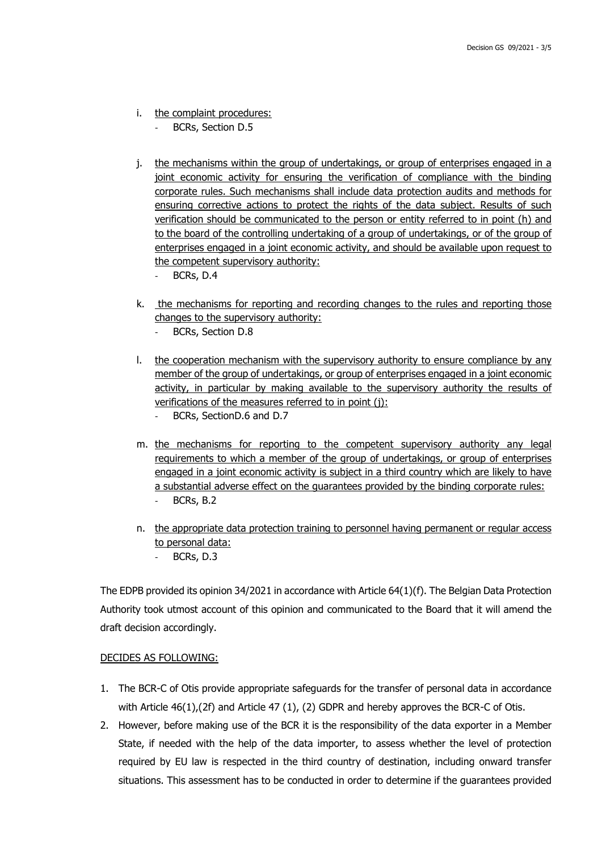- i. the complaint procedures:
	- BCRs, Section D.5
- j. the mechanisms within the group of undertakings, or group of enterprises engaged in a joint economic activity for ensuring the verification of compliance with the binding corporate rules. Such mechanisms shall include data protection audits and methods for ensuring corrective actions to protect the rights of the data subject. Results of such verification should be communicated to the person or entity referred to in point (h) and to the board of the controlling undertaking of a group of undertakings, or of the group of enterprises engaged in a joint economic activity, and should be available upon request to the competent supervisory authority:
	- BCRs, D.4
- k. the mechanisms for reporting and recording changes to the rules and reporting those changes to the supervisory authority:
	- BCRs, Section D.8
- l. the cooperation mechanism with the supervisory authority to ensure compliance by any member of the group of undertakings, or group of enterprises engaged in a joint economic activity, in particular by making available to the supervisory authority the results of verifications of the measures referred to in point (j):
	- BCRs, SectionD.6 and D.7
- m. the mechanisms for reporting to the competent supervisory authority any legal requirements to which a member of the group of undertakings, or group of enterprises engaged in a joint economic activity is subject in a third country which are likely to have a substantial adverse effect on the guarantees provided by the binding corporate rules: BCRs, B.2
- n. the appropriate data protection training to personnel having permanent or regular access to personal data:
	- BCRs, D.3

The EDPB provided its opinion 34/2021 in accordance with Article 64(1)(f). The Belgian Data Protection Authority took utmost account of this opinion and communicated to the Board that it will amend the draft decision accordingly.

## DECIDES AS FOLLOWING:

- 1. The BCR-C of Otis provide appropriate safeguards for the transfer of personal data in accordance with Article 46(1),(2f) and Article 47 (1), (2) GDPR and hereby approves the BCR-C of Otis.
- 2. However, before making use of the BCR it is the responsibility of the data exporter in a Member State, if needed with the help of the data importer, to assess whether the level of protection required by EU law is respected in the third country of destination, including onward transfer situations. This assessment has to be conducted in order to determine if the guarantees provided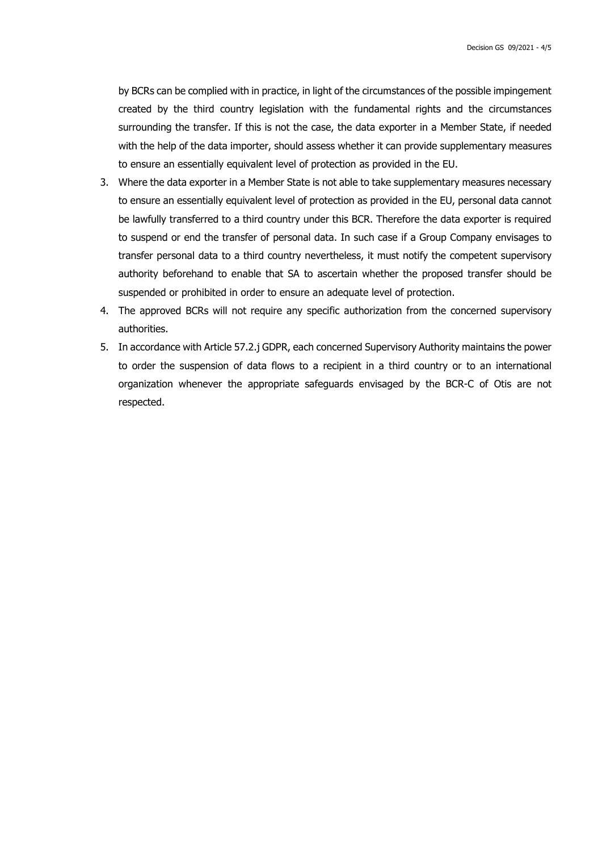by BCRs can be complied with in practice, in light of the circumstances of the possible impingement created by the third country legislation with the fundamental rights and the circumstances surrounding the transfer. If this is not the case, the data exporter in a Member State, if needed with the help of the data importer, should assess whether it can provide supplementary measures to ensure an essentially equivalent level of protection as provided in the EU.

- 3. Where the data exporter in a Member State is not able to take supplementary measures necessary to ensure an essentially equivalent level of protection as provided in the EU, personal data cannot be lawfully transferred to a third country under this BCR. Therefore the data exporter is required to suspend or end the transfer of personal data. In such case if a Group Company envisages to transfer personal data to a third country nevertheless, it must notify the competent supervisory authority beforehand to enable that SA to ascertain whether the proposed transfer should be suspended or prohibited in order to ensure an adequate level of protection.
- 4. The approved BCRs will not require any specific authorization from the concerned supervisory authorities.
- 5. In accordance with Article 57.2.j GDPR, each concerned Supervisory Authority maintains the power to order the suspension of data flows to a recipient in a third country or to an international organization whenever the appropriate safeguards envisaged by the BCR-C of Otis are not respected.